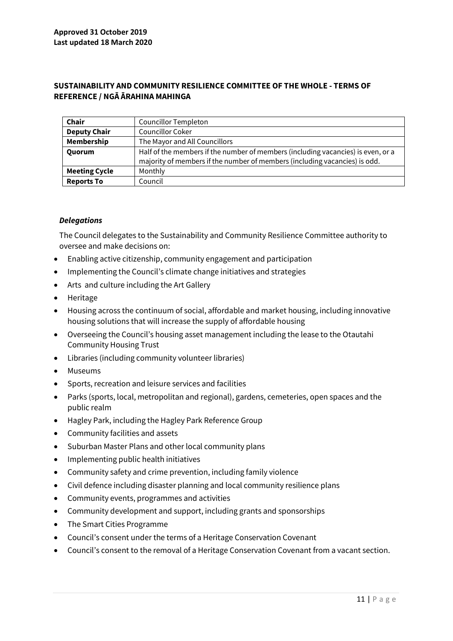## **SUSTAINABILITY AND COMMUNITY RESILIENCE COMMITTEE OF THE WHOLE - TERMS OF REFERENCE / NGĀ ĀRAHINA MAHINGA**

| <b>Chair</b>         | <b>Councillor Templeton</b>                                                                                                                                    |
|----------------------|----------------------------------------------------------------------------------------------------------------------------------------------------------------|
| <b>Deputy Chair</b>  | Councillor Coker                                                                                                                                               |
| Membership           | The Mayor and All Councillors                                                                                                                                  |
| Quorum               | Half of the members if the number of members (including vacancies) is even, or a<br>majority of members if the number of members (including vacancies) is odd. |
| <b>Meeting Cycle</b> | Monthly                                                                                                                                                        |
| <b>Reports To</b>    | Council                                                                                                                                                        |

### *Delegations*

The Council delegates to the Sustainability and Community Resilience Committee authority to oversee and make decisions on:

- Enabling active citizenship, community engagement and participation
- Implementing the Council's climate change initiatives and strategies
- Arts and culture including the Art Gallery
- Heritage
- Housing across the continuum of social, affordable and market housing, including innovative housing solutions that will increase the supply of affordable housing
- Overseeing the Council's housing asset management including the lease to the Otautahi Community Housing Trust
- Libraries (including community volunteer libraries)
- Museums
- Sports, recreation and leisure services and facilities
- Parks (sports, local, metropolitan and regional), gardens, cemeteries, open spaces and the public realm
- Hagley Park, including the Hagley Park Reference Group
- Community facilities and assets
- Suburban Master Plans and other local community plans
- Implementing public health initiatives
- Community safety and crime prevention, including family violence
- Civil defence including disaster planning and local community resilience plans
- Community events, programmes and activities
- Community development and support, including grants and sponsorships
- The Smart Cities Programme
- Council's consent under the terms of a Heritage Conservation Covenant
- Council's consent to the removal of a Heritage Conservation Covenant from a vacant section.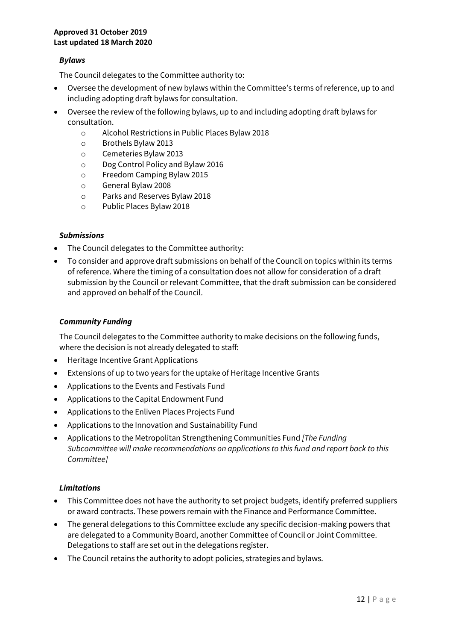#### **Approved 31 October 2019 Last updated 18 March 2020**

# *Bylaws*

The Council delegates to the Committee authority to:

- Oversee the development of new bylaws within the Committee's terms of reference, up to and including adopting draft bylaws for consultation.
- Oversee the review of the following bylaws, up to and including adopting draft bylaws for consultation.
	- o Alcohol Restrictions in Public Places Bylaw 2018
	- o Brothels Bylaw 2013
	- o Cemeteries Bylaw 2013
	- o Dog Control Policy and Bylaw 2016
	- o Freedom Camping Bylaw 2015
	- o General Bylaw 2008
	- o Parks and Reserves Bylaw 2018
	- o Public Places Bylaw 2018

### *Submissions*

- The Council delegates to the Committee authority:
- To consider and approve draft submissions on behalf of the Council on topics within its terms of reference. Where the timing of a consultation does not allow for consideration of a draft submission by the Council or relevant Committee, that the draft submission can be considered and approved on behalf of the Council.

## *Community Funding*

The Council delegates to the Committee authority to make decisions on the following funds, where the decision is not already delegated to staff:

- Heritage Incentive Grant Applications
- Extensions of up to two years for the uptake of Heritage Incentive Grants
- Applications to the Events and Festivals Fund
- Applications to the Capital Endowment Fund
- Applications to the Enliven Places Projects Fund
- Applications to the Innovation and Sustainability Fund
- Applications to the Metropolitan Strengthening Communities Fund *[The Funding Subcommittee will make recommendations on applications to this fund and report back to this Committee]*

## *Limitations*

- This Committee does not have the authority to set project budgets, identify preferred suppliers or award contracts. These powers remain with the Finance and Performance Committee.
- The general delegations to this Committee exclude any specific decision-making powers that are delegated to a Community Board, another Committee of Council or Joint Committee. Delegations to staff are set out in the delegations register.
- The Council retains the authority to adopt policies, strategies and bylaws.